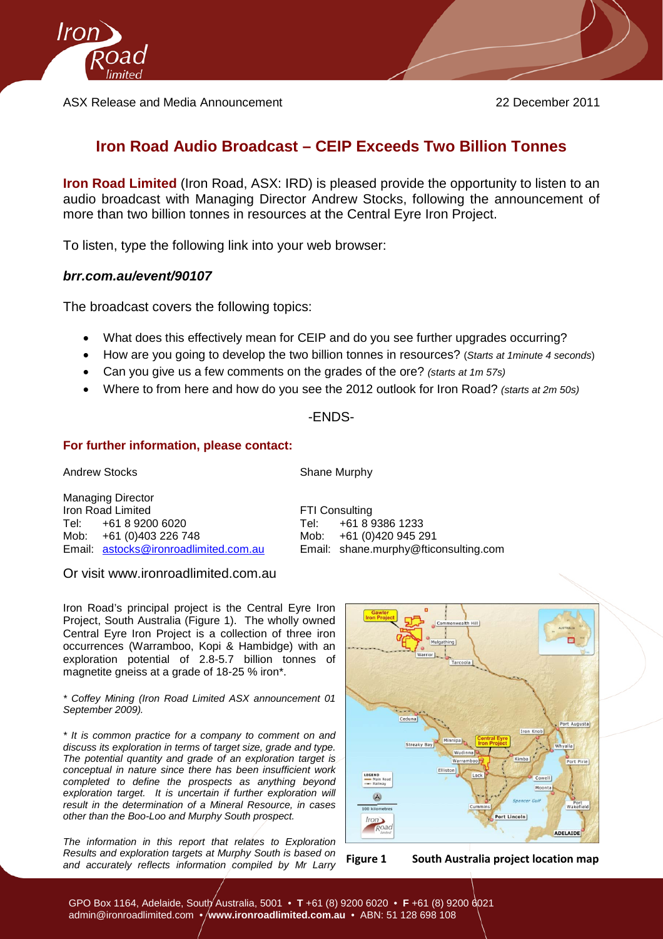

ASX Release and Media Announcement 22 December 2011

## **Iron Road Audio Broadcast – CEIP Exceeds Two Billion Tonnes**

**Iron Road Limited** (Iron Road, ASX: IRD) is pleased provide the opportunity to listen to an audio broadcast with Managing Director Andrew Stocks, following the announcement of more than two billion tonnes in resources at the Central Eyre Iron Project.

To listen, type the following link into your web browser:

## *brr.com.au/event/90107*

The broadcast covers the following topics:

- What does this effectively mean for CEIP and do you see further upgrades occurring?
- How are you going to develop the two billion tonnes in resources? (*Starts at 1minute 4 seconds*)
- Can you give us a few comments on the grades of the ore? *(starts at 1m 57s)*
- Where to from here and how do you see the 2012 outlook for Iron Road? *(starts at 2m 50s)*

## -ENDS-

## **For further information, please contact:**

Andrew Stocks Shane Murphy

Managing Director Iron Road Limited FTI Consulting Tel: +61 8 9200 6020 Tel: +61 8 9386 1233 Mob: +61 (0)403 226 748 Mob: +61 (0)403 226 748 Mob:

Email: [shane.murphy@fticonsulting.com](mailto:shane.murphy@fticonsulting.com)

Or visit [www.ironroadlimited.com.au](http://www.ironroadlimited.com.au/)

Iron Road's principal project is the Central Eyre Iron Project, South Australia (Figure 1). The wholly owned Central Eyre Iron Project is a collection of three iron occurrences (Warramboo, Kopi & Hambidge) with an exploration potential of 2.8-5.7 billion tonnes of magnetite gneiss at a grade of 18-25 % iron\*.

*\* Coffey Mining (Iron Road Limited ASX announcement 01 September 2009).*

*\* It is common practice for a company to comment on and discuss its exploration in terms of target size, grade and type. The potential quantity and grade of an exploration target is conceptual in nature since there has been insufficient work completed to define the prospects as anything beyond exploration target. It is uncertain if further exploration will result in the determination of a Mineral Resource, in cases other than the Boo-Loo and Murphy South prospect.*

*The information in this report that relates to Exploration Results and exploration targets at Murphy South is based on and accurately reflects information compiled by Mr Larry* **Figure 1 South Australia project location map**